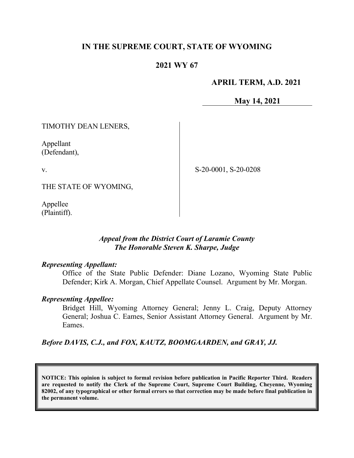# **IN THE SUPREME COURT, STATE OF WYOMING**

## **2021 WY 67**

## **APRIL TERM, A.D. 2021**

**May 14, 2021**

TIMOTHY DEAN LENERS,

Appellant (Defendant),

v.

S-20-0001, S-20-0208

THE STATE OF WYOMING,

Appellee (Plaintiff).

## *Appeal from the District Court of Laramie County The Honorable Steven K. Sharpe, Judge*

#### *Representing Appellant:*

Office of the State Public Defender: Diane Lozano, Wyoming State Public Defender; Kirk A. Morgan, Chief Appellate Counsel. Argument by Mr. Morgan.

#### *Representing Appellee:*

Bridget Hill, Wyoming Attorney General; Jenny L. Craig, Deputy Attorney General; Joshua C. Eames, Senior Assistant Attorney General. Argument by Mr. Eames.

*Before DAVIS, C.J., and FOX, KAUTZ, BOOMGAARDEN, and GRAY, JJ.*

**NOTICE: This opinion is subject to formal revision before publication in Pacific Reporter Third. Readers are requested to notify the Clerk of the Supreme Court, Supreme Court Building, Cheyenne, Wyoming 82002, of any typographical or other formal errors so that correction may be made before final publication in the permanent volume.**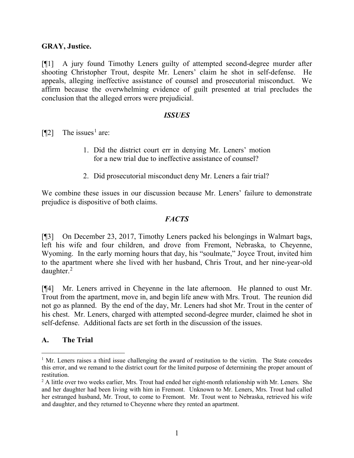## **GRAY, Justice.**

[¶1] A jury found Timothy Leners guilty of attempted second-degree murder after shooting Christopher Trout, despite Mr. Leners' claim he shot in self-defense. He appeals, alleging ineffective assistance of counsel and prosecutorial misconduct. We affirm because the overwhelming evidence of guilt presented at trial precludes the conclusion that the alleged errors were prejudicial.

#### *ISSUES*

[ $\llbracket$ 2] The issues<sup>[1](#page-1-0)</sup> are:

- 1. Did the district court err in denying Mr. Leners' motion for a new trial due to ineffective assistance of counsel?
- 2. Did prosecutorial misconduct deny Mr. Leners a fair trial?

We combine these issues in our discussion because Mr. Leners' failure to demonstrate prejudice is dispositive of both claims.

## *FACTS*

[¶3] On December 23, 2017, Timothy Leners packed his belongings in Walmart bags, left his wife and four children, and drove from Fremont, Nebraska, to Cheyenne, Wyoming. In the early morning hours that day, his "soulmate," Joyce Trout, invited him to the apartment where she lived with her husband, Chris Trout, and her nine-year-old daughter.[2](#page-1-1)

[¶4] Mr. Leners arrived in Cheyenne in the late afternoon. He planned to oust Mr. Trout from the apartment, move in, and begin life anew with Mrs. Trout. The reunion did not go as planned. By the end of the day, Mr. Leners had shot Mr. Trout in the center of his chest. Mr. Leners, charged with attempted second-degree murder, claimed he shot in self-defense. Additional facts are set forth in the discussion of the issues.

## **A. The Trial**

<span id="page-1-0"></span> $<sup>1</sup>$  Mr. Leners raises a third issue challenging the award of restitution to the victim. The State concedes</sup> this error, and we remand to the district court for the limited purpose of determining the proper amount of restitution.

<span id="page-1-1"></span> $<sup>2</sup>$  A little over two weeks earlier, Mrs. Trout had ended her eight-month relationship with Mr. Leners. She</sup> and her daughter had been living with him in Fremont. Unknown to Mr. Leners, Mrs. Trout had called her estranged husband, Mr. Trout, to come to Fremont. Mr. Trout went to Nebraska, retrieved his wife and daughter, and they returned to Cheyenne where they rented an apartment.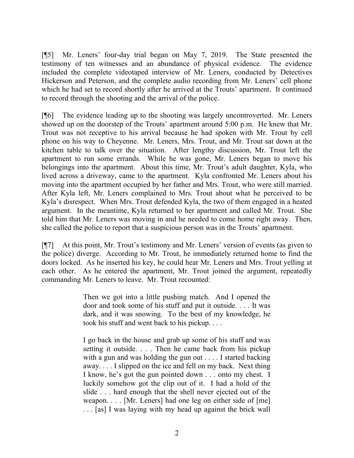[¶5] Mr. Leners' four-day trial began on May 7, 2019. The State presented the testimony of ten witnesses and an abundance of physical evidence. The evidence included the complete videotaped interview of Mr. Leners, conducted by Detectives Hickerson and Peterson, and the complete audio recording from Mr. Leners' cell phone which he had set to record shortly after he arrived at the Trouts' apartment. It continued to record through the shooting and the arrival of the police.

[¶6] The evidence leading up to the shooting was largely uncontroverted. Mr. Leners showed up on the doorstep of the Trouts' apartment around 5:00 p.m. He knew that Mr. Trout was not receptive to his arrival because he had spoken with Mr. Trout by cell phone on his way to Cheyenne. Mr. Leners, Mrs. Trout, and Mr. Trout sat down at the kitchen table to talk over the situation. After lengthy discussion, Mr. Trout left the apartment to run some errands. While he was gone, Mr. Leners began to move his belongings into the apartment. About this time, Mr. Trout's adult daughter, Kyla, who lived across a driveway, came to the apartment. Kyla confronted Mr. Leners about his moving into the apartment occupied by her father and Mrs. Trout, who were still married. After Kyla left, Mr. Leners complained to Mrs. Trout about what he perceived to be Kyla's disrespect. When Mrs. Trout defended Kyla, the two of them engaged in a heated argument. In the meantime, Kyla returned to her apartment and called Mr. Trout. She told him that Mr. Leners was moving in and he needed to come home right away. Then, she called the police to report that a suspicious person was in the Trouts' apartment.

[¶7] At this point, Mr. Trout's testimony and Mr. Leners' version of events (as given to the police) diverge. According to Mr. Trout, he immediately returned home to find the doors locked. As he inserted his key, he could hear Mr. Leners and Mrs. Trout yelling at each other. As he entered the apartment, Mr. Trout joined the argument, repeatedly commanding Mr. Leners to leave. Mr. Trout recounted:

> Then we got into a little pushing match. And I opened the door and took some of his stuff and put it outside. . . . It was dark, and it was snowing. To the best of my knowledge, he took his stuff and went back to his pickup. . . .

> I go back in the house and grab up some of his stuff and was setting it outside. . . . Then he came back from his pickup with a gun and was holding the gun out . . . . I started backing away. . . . I slipped on the ice and fell on my back. Next thing I know, he's got the gun pointed down . . . onto my chest. I luckily somehow got the clip out of it. I had a hold of the slide . . . hard enough that the shell never ejected out of the weapon. . . . [Mr. Leners] had one leg on either side of [me] . . . [as] I was laying with my head up against the brick wall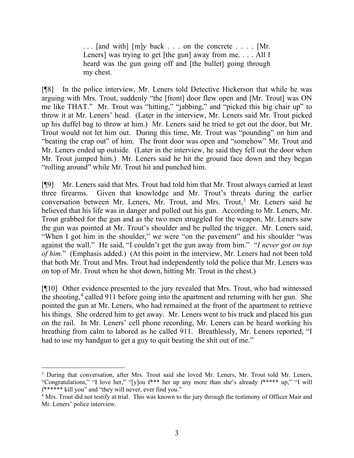$\ldots$  [and with] [m]y back . . . on the concrete . . . . [Mr. Leners] was trying to get [the gun] away from me. . . . All I heard was the gun going off and [the bullet] going through my chest.

[¶8] In the police interview, Mr. Leners told Detective Hickerson that while he was arguing with Mrs. Trout, suddenly "the [front] door flew open and [Mr. Trout] was ON me like THAT." Mr. Trout was "hitting," "jabbing," and "picked this big chair up" to throw it at Mr. Leners' head. (Later in the interview, Mr. Leners said Mr. Trout picked up his duffel bag to throw at him.) Mr. Leners said he tried to get out the door, but Mr. Trout would not let him out. During this time, Mr. Trout was "pounding" on him and "beating the crap out" of him. The front door was open and "somehow" Mr. Trout and Mr. Leners ended up outside. (Later in the interview, he said they fell out the door when Mr. Trout jumped him.) Mr. Leners said he hit the ground face down and they began "rolling around" while Mr. Trout hit and punched him.

[¶9] Mr. Leners said that Mrs. Trout had told him that Mr. Trout always carried at least three firearms. Given that knowledge and Mr. Trout's threats during the earlier conversation between Mr. Leners, Mr. Trout, and Mrs. Trout, [3](#page-3-0) Mr. Leners said he believed that his life was in danger and pulled out his gun. According to Mr. Leners, Mr. Trout grabbed for the gun and as the two men struggled for the weapon, Mr. Leners saw the gun was pointed at Mr. Trout's shoulder and he pulled the trigger. Mr. Leners said, "When I got him in the shoulder," we were "on the pavement" and his shoulder "was against the wall." He said, "I couldn't get the gun away from him." "*I never got on top of him.*" (Emphasis added.) (At this point in the interview, Mr. Leners had not been told that both Mr. Trout and Mrs. Trout had independently told the police that Mr. Leners was on top of Mr. Trout when he shot down, hitting Mr. Trout in the chest.)

[¶10] Other evidence presented to the jury revealed that Mrs. Trout, who had witnessed the shooting,<sup>[4](#page-3-1)</sup> called 911 before going into the apartment and returning with her gun. She pointed the gun at Mr. Leners, who had remained at the front of the apartment to retrieve his things. She ordered him to get away. Mr. Leners went to his truck and placed his gun on the rail. In Mr. Leners' cell phone recording, Mr. Leners can be heard working his breathing from calm to labored as he called 911. Breathlessly, Mr. Leners reported, "I had to use my handgun to get a guy to quit beating the shit out of me."

<span id="page-3-0"></span><sup>&</sup>lt;sup>3</sup> During that conversation, after Mrs. Trout said she loved Mr. Leners, Mr. Trout told Mr. Leners, "Congratulations," "I love her," "[y]ou f\*\*\* her up any more than she's already f\*\*\*\*\* up," "I will f\*\*\*\*\*\* kill you" and "they will never, ever find you."

<span id="page-3-1"></span><sup>&</sup>lt;sup>4</sup> Mrs. Trout did not testify at trial. This was known to the jury through the testimony of Officer Mair and Mr. Leners' police interview.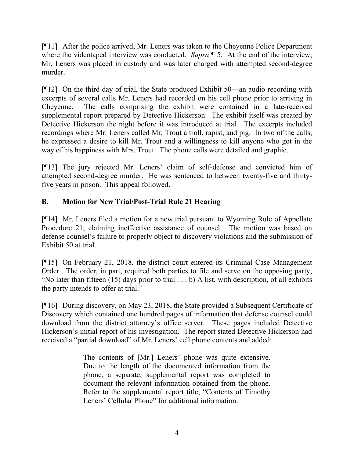[¶11] After the police arrived, Mr. Leners was taken to the Cheyenne Police Department where the videotaped interview was conducted. *Supra* **[** 5. At the end of the interview, Mr. Leners was placed in custody and was later charged with attempted second-degree murder.

[¶12] On the third day of trial, the State produced Exhibit 50—an audio recording with excerpts of several calls Mr. Leners had recorded on his cell phone prior to arriving in Cheyenne. The calls comprising the exhibit were contained in a late-received supplemental report prepared by Detective Hickerson. The exhibit itself was created by Detective Hickerson the night before it was introduced at trial. The excerpts included recordings where Mr. Leners called Mr. Trout a troll, rapist, and pig. In two of the calls, he expressed a desire to kill Mr. Trout and a willingness to kill anyone who got in the way of his happiness with Mrs. Trout. The phone calls were detailed and graphic.

[¶13] The jury rejected Mr. Leners' claim of self-defense and convicted him of attempted second-degree murder. He was sentenced to between twenty-five and thirtyfive years in prison. This appeal followed.

# **B. Motion for New Trial/Post-Trial Rule 21 Hearing**

[¶14] Mr. Leners filed a motion for a new trial pursuant to Wyoming Rule of Appellate Procedure 21, claiming ineffective assistance of counsel. The motion was based on defense counsel's failure to properly object to discovery violations and the submission of Exhibit 50 at trial.

[¶15] On February 21, 2018, the district court entered its Criminal Case Management Order. The order, in part, required both parties to file and serve on the opposing party, "No later than fifteen (15) days prior to trial . . . b) A list, with description, of all exhibits the party intends to offer at trial."

[¶16] During discovery, on May 23, 2018, the State provided a Subsequent Certificate of Discovery which contained one hundred pages of information that defense counsel could download from the district attorney's office server. These pages included Detective Hickerson's initial report of his investigation. The report stated Detective Hickerson had received a "partial download" of Mr. Leners' cell phone contents and added:

> The contents of [Mr.] Leners' phone was quite extensive. Due to the length of the documented information from the phone, a separate, supplemental report was completed to document the relevant information obtained from the phone. Refer to the supplemental report title, "Contents of Timothy Leners' Cellular Phone" for additional information.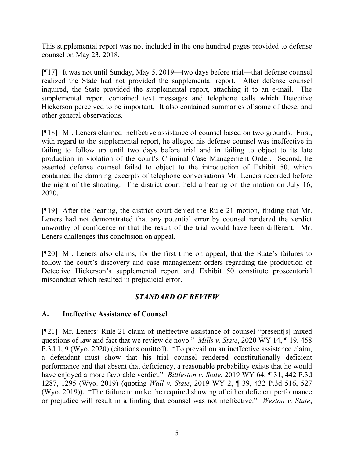This supplemental report was not included in the one hundred pages provided to defense counsel on May 23, 2018.

[¶17] It was not until Sunday, May 5, 2019—two days before trial—that defense counsel realized the State had not provided the supplemental report. After defense counsel inquired, the State provided the supplemental report, attaching it to an e-mail. The supplemental report contained text messages and telephone calls which Detective Hickerson perceived to be important. It also contained summaries of some of these, and other general observations.

[¶18] Mr. Leners claimed ineffective assistance of counsel based on two grounds. First, with regard to the supplemental report, he alleged his defense counsel was ineffective in failing to follow up until two days before trial and in failing to object to its late production in violation of the court's Criminal Case Management Order. Second, he asserted defense counsel failed to object to the introduction of Exhibit 50, which contained the damning excerpts of telephone conversations Mr. Leners recorded before the night of the shooting. The district court held a hearing on the motion on July 16, 2020.

[¶19] After the hearing, the district court denied the Rule 21 motion, finding that Mr. Leners had not demonstrated that any potential error by counsel rendered the verdict unworthy of confidence or that the result of the trial would have been different. Mr. Leners challenges this conclusion on appeal.

[¶20] Mr. Leners also claims, for the first time on appeal, that the State's failures to follow the court's discovery and case management orders regarding the production of Detective Hickerson's supplemental report and Exhibit 50 constitute prosecutorial misconduct which resulted in prejudicial error.

# *STANDARD OF REVIEW*

## **A. Ineffective Assistance of Counsel**

[¶21] Mr. Leners' Rule 21 claim of ineffective assistance of counsel "present[s] mixed questions of law and fact that we review de novo." *Mills v. State*, 2020 WY 14, ¶ 19, 458 P.3d 1, 9 (Wyo. 2020) (citations omitted). "To prevail on an ineffective assistance claim, a defendant must show that his trial counsel rendered constitutionally deficient performance and that absent that deficiency, a reasonable probability exists that he would have enjoyed a more favorable verdict." *Bittleston v. State*, 2019 WY 64, ¶ 31, 442 P.3d 1287, 1295 (Wyo. 2019) (quoting *Wall v. State*, 2019 WY 2, ¶ 39, 432 P.3d 516, 527 (Wyo. 2019)). "The failure to make the required showing of either deficient performance or prejudice will result in a finding that counsel was not ineffective." *Weston v. State*,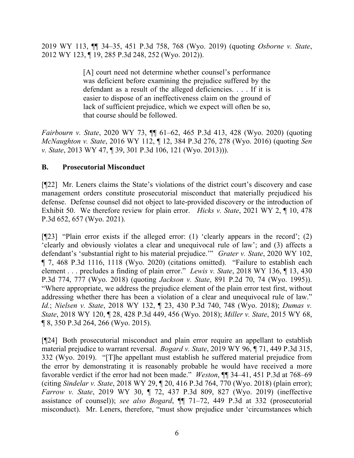2019 WY 113, ¶¶ 34–35, 451 P.3d 758, 768 (Wyo. 2019) (quoting *Osborne v. State*, 2012 WY 123, ¶ 19, 285 P.3d 248, 252 (Wyo. 2012)).

> [A] court need not determine whether counsel's performance was deficient before examining the prejudice suffered by the defendant as a result of the alleged deficiencies. . . . If it is easier to dispose of an ineffectiveness claim on the ground of lack of sufficient prejudice, which we expect will often be so, that course should be followed.

*Fairbourn v. State*, 2020 WY 73, ¶¶ 61–62, 465 P.3d 413, 428 (Wyo. 2020) (quoting *McNaughton v. State*, 2016 WY 112, ¶ 12, 384 P.3d 276, 278 (Wyo. 2016) (quoting *Sen v. State*, 2013 WY 47, ¶ 39, 301 P.3d 106, 121 (Wyo. 2013))).

## **B. Prosecutorial Misconduct**

[¶22] Mr. Leners claims the State's violations of the district court's discovery and case management orders constitute prosecutorial misconduct that materially prejudiced his defense. Defense counsel did not object to late-provided discovery or the introduction of Exhibit 50. We therefore review for plain error. *Hicks v. State*, 2021 WY 2, ¶ 10, 478 P.3d 652, 657 (Wyo. 2021).

[¶23] "Plain error exists if the alleged error: (1) 'clearly appears in the record'; (2) 'clearly and obviously violates a clear and unequivocal rule of law'; and (3) affects a defendant's 'substantial right to his material prejudice.'" *Grater v. State*, 2020 WY 102, ¶ 7, 468 P.3d 1116, 1118 (Wyo. 2020) (citations omitted). "Failure to establish each element . . . precludes a finding of plain error." *Lewis v. State*, 2018 WY 136, ¶ 13, 430 P.3d 774, 777 (Wyo. 2018) (quoting *Jackson v. State*, 891 P.2d 70, 74 (Wyo. 1995)). "Where appropriate, we address the prejudice element of the plain error test first, without addressing whether there has been a violation of a clear and unequivocal rule of law." *Id.*; *Nielsen v. State*, 2018 WY 132, ¶ 23, 430 P.3d 740, 748 (Wyo. 2018); *Dumas v. State*, 2018 WY 120, ¶ 28, 428 P.3d 449, 456 (Wyo. 2018); *Miller v. State*, 2015 WY 68, ¶ 8, 350 P.3d 264, 266 (Wyo. 2015).

[¶24] Both prosecutorial misconduct and plain error require an appellant to establish material prejudice to warrant reversal. *Bogard v. State*, 2019 WY 96, ¶ 71, 449 P.3d 315, 332 (Wyo. 2019). "[T]he appellant must establish he suffered material prejudice from the error by demonstrating it is reasonably probable he would have received a more favorable verdict if the error had not been made." *Weston*, ¶¶ 34–41, 451 P.3d at 768–69 (citing *Sindelar v. State*, 2018 WY 29, ¶ 20, 416 P.3d 764, 770 (Wyo. 2018) (plain error); *Farrow v. State*, 2019 WY 30, ¶ 72, 437 P.3d 809, 827 (Wyo. 2019) (ineffective assistance of counsel)); *see also Bogard*, ¶¶ 71–72, 449 P.3d at 332 (prosecutorial misconduct). Mr. Leners, therefore, "must show prejudice under 'circumstances which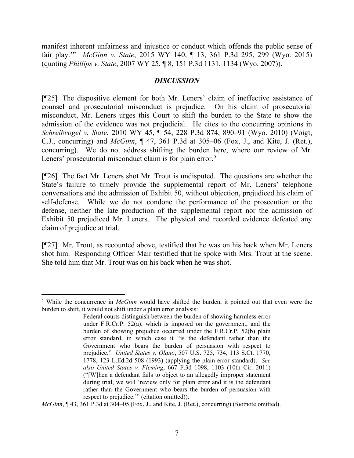manifest inherent unfairness and injustice or conduct which offends the public sense of fair play.'" *McGinn v. State*, 2015 WY 140, ¶ 13, 361 P.3d 295, 299 (Wyo. 2015) (quoting *Phillips v. State*, 2007 WY 25, ¶ 8, 151 P.3d 1131, 1134 (Wyo. 2007)).

## *DISCUSSION*

[¶25] The dispositive element for both Mr. Leners' claim of ineffective assistance of counsel and prosecutorial misconduct is prejudice. On his claim of prosecutorial misconduct, Mr. Leners urges this Court to shift the burden to the State to show the admission of the evidence was not prejudicial. He cites to the concurring opinions in *Schreibvogel v. State*, 2010 WY 45, ¶ 54, 228 P.3d 874, 890–91 (Wyo. 2010) (Voigt, C.J., concurring) and *McGinn*, ¶ 47, 361 P.3d at 305–06 (Fox, J., and Kite, J. (Ret.), concurring). We do not address shifting the burden here, where our review of Mr. Leners' prosecutorial misconduct claim is for plain error.<sup>[5](#page-7-0)</sup>

[¶26] The fact Mr. Leners shot Mr. Trout is undisputed. The questions are whether the State's failure to timely provide the supplemental report of Mr. Leners' telephone conversations and the admission of Exhibit 50, without objection, prejudiced his claim of self-defense. While we do not condone the performance of the prosecution or the defense, neither the late production of the supplemental report nor the admission of Exhibit 50 prejudiced Mr. Leners. The physical and recorded evidence defeated any claim of prejudice at trial.

[¶27] Mr. Trout, as recounted above, testified that he was on his back when Mr. Leners shot him. Responding Officer Mair testified that he spoke with Mrs. Trout at the scene. She told him that Mr. Trout was on his back when he was shot.

*McGinn*, ¶ 43, 361 P.3d at 304–05 (Fox, J., and Kite, J. (Ret.), concurring) (footnote omitted).

<span id="page-7-0"></span><sup>5</sup> While the concurrence in *McGinn* would have shifted the burden, it pointed out that even were the burden to shift, it would not shift under a plain error analysis:

Federal courts distinguish between the burden of showing harmless error under F.R.Cr.P. 52(a), which is imposed on the government, and the burden of showing prejudice occurred under the F.R.Cr.P. 52(b) plain error standard, in which case it "is the defendant rather than the Government who bears the burden of persuasion with respect to prejudice." *United States v. Olano*, 507 U.S. 725, 734, 113 S.Ct. 1770, 1778, 123 L.Ed.2d 508 (1993) (applying the plain error standard). *See also United States v. Fleming*, 667 F.3d 1098, 1103 (10th Cir. 2011) ("[W]hen a defendant fails to object to an allegedly improper statement during trial, we will 'review only for plain error and it is the defendant rather than the Government who bears the burden of persuasion with respect to prejudice.'" (citation omitted)).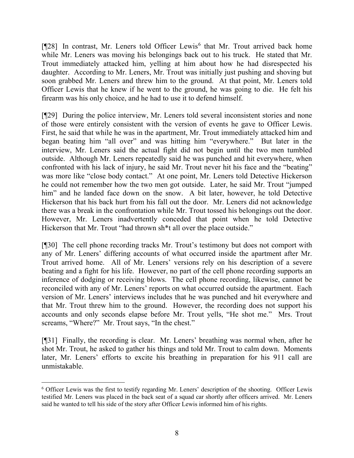$[928]$  In contrast, Mr. Leners told Officer Lewis<sup>[6](#page-8-0)</sup> that Mr. Trout arrived back home while Mr. Leners was moving his belongings back out to his truck. He stated that Mr. Trout immediately attacked him, yelling at him about how he had disrespected his daughter. According to Mr. Leners, Mr. Trout was initially just pushing and shoving but soon grabbed Mr. Leners and threw him to the ground. At that point, Mr. Leners told Officer Lewis that he knew if he went to the ground, he was going to die. He felt his firearm was his only choice, and he had to use it to defend himself.

[¶29] During the police interview, Mr. Leners told several inconsistent stories and none of those were entirely consistent with the version of events he gave to Officer Lewis. First, he said that while he was in the apartment, Mr. Trout immediately attacked him and began beating him "all over" and was hitting him "everywhere." But later in the interview, Mr. Leners said the actual fight did not begin until the two men tumbled outside. Although Mr. Leners repeatedly said he was punched and hit everywhere, when confronted with his lack of injury, he said Mr. Trout never hit his face and the "beating" was more like "close body contact." At one point, Mr. Leners told Detective Hickerson he could not remember how the two men got outside. Later, he said Mr. Trout "jumped him" and he landed face down on the snow. A bit later, however, he told Detective Hickerson that his back hurt from his fall out the door. Mr. Leners did not acknowledge there was a break in the confrontation while Mr. Trout tossed his belongings out the door. However, Mr. Leners inadvertently conceded that point when he told Detective Hickerson that Mr. Trout "had thrown sh<sup>\*\*</sup>t all over the place outside."

[¶30] The cell phone recording tracks Mr. Trout's testimony but does not comport with any of Mr. Leners' differing accounts of what occurred inside the apartment after Mr. Trout arrived home. All of Mr. Leners' versions rely on his description of a severe beating and a fight for his life. However, no part of the cell phone recording supports an inference of dodging or receiving blows. The cell phone recording, likewise, cannot be reconciled with any of Mr. Leners' reports on what occurred outside the apartment. Each version of Mr. Leners' interviews includes that he was punched and hit everywhere and that Mr. Trout threw him to the ground. However, the recording does not support his accounts and only seconds elapse before Mr. Trout yells, "He shot me." Mrs. Trout screams, "Where?" Mr. Trout says, "In the chest."

[¶31] Finally, the recording is clear. Mr. Leners' breathing was normal when, after he shot Mr. Trout, he asked to gather his things and told Mr. Trout to calm down. Moments later, Mr. Leners' efforts to excite his breathing in preparation for his 911 call are unmistakable.

<span id="page-8-0"></span><sup>6</sup> Officer Lewis was the first to testify regarding Mr. Leners' description of the shooting. Officer Lewis testified Mr. Leners was placed in the back seat of a squad car shortly after officers arrived. Mr. Leners said he wanted to tell his side of the story after Officer Lewis informed him of his rights.